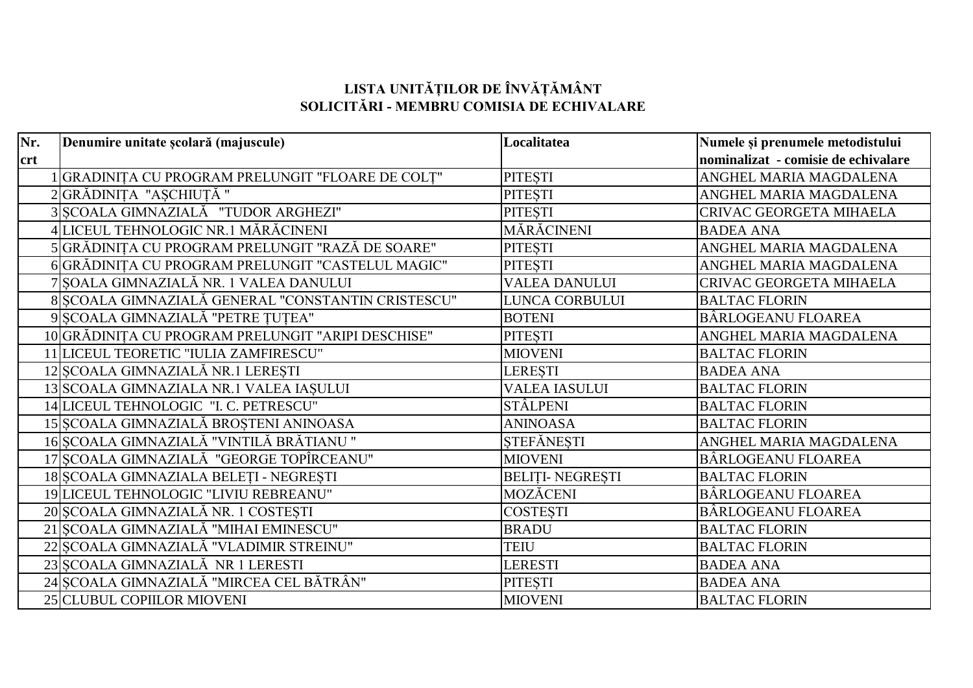## **LISTA UNITĂȚILOR DE ÎNVĂȚĂMÂNT SOLICITĂRI - MEMBRU COMISIA DE ECHIVALARE**

| Nr.        | Denumire unitate școlară (majuscule)               | Localitatea             | Numele și prenumele metodistului    |
|------------|----------------------------------------------------|-------------------------|-------------------------------------|
| <b>crt</b> |                                                    |                         | nominalizat - comisie de echivalare |
|            | 1 GRADINIȚA CU PROGRAM PRELUNGIT "FLOARE DE COLȚ"  | PITEȘTI                 | ANGHEL MARIA MAGDALENA              |
|            | 2 GRĂDINIȚA "AȘCHIUȚĂ"                             | <b>PITESTI</b>          | ANGHEL MARIA MAGDALENA              |
|            | 3 SCOALA GIMNAZIALĂ "TUDOR ARGHEZI"                | PITEȘTI                 | CRIVAC GEORGETA MIHAELA             |
|            | 4 LICEUL TEHNOLOGIC NR.1 MĂRĂCINENI                | MĂRĂCINENI              | <b>BADEA ANA</b>                    |
|            | 5 GRĂDINIȚA CU PROGRAM PRELUNGIT "RAZĂ DE SOARE"   | <b>PITESTI</b>          | ANGHEL MARIA MAGDALENA              |
|            | 6 GRĂDINIȚA CU PROGRAM PRELUNGIT "CASTELUL MAGIC"  | <b>PITESTI</b>          | ANGHEL MARIA MAGDALENA              |
|            | 7 SOALA GIMNAZIALĂ NR. 1 VALEA DANULUI             | <b>VALEA DANULUI</b>    | CRIVAC GEORGETA MIHAELA             |
|            | 8 SCOALA GIMNAZIALĂ GENERAL "CONSTANTIN CRISTESCU" | LUNCA CORBULUI          | <b>BALTAC FLORIN</b>                |
|            | 9 ȘCOALA GIMNAZIALĂ "PETRE ȚUȚEA"                  | <b>BOTENI</b>           | BÂRLOGEANU FLOAREA                  |
|            | 10 GRĂDINIȚA CU PROGRAM PRELUNGIT "ARIPI DESCHISE" | PITEȘTI                 | ANGHEL MARIA MAGDALENA              |
|            | 11 LICEUL TEORETIC "IULIA ZAMFIRESCU"              | <b>MIOVENI</b>          | <b>BALTAC FLORIN</b>                |
|            | 12 SCOALA GIMNAZIALĂ NR.1 LEREȘTI                  | <b>LERESTI</b>          | <b>BADEA ANA</b>                    |
|            | 13 SCOALA GIMNAZIALA NR.1 VALEA IAȘULUI            | <b>VALEA IASULUI</b>    | <b>BALTAC FLORIN</b>                |
|            | 14 LICEUL TEHNOLOGIC "I. C. PETRESCU"              | <b>STÂLPENI</b>         | <b>BALTAC FLORIN</b>                |
|            | 15 ȘCOALA GIMNAZIALĂ BROȘTENI ANINOASA             | <b>ANINOASA</b>         | <b>BALTAC FLORIN</b>                |
|            | 16 ȘCOALA GIMNAZIALĂ "VINTILĂ BRĂTIANU "           | <b>STEFĂNESTI</b>       | ANGHEL MARIA MAGDALENA              |
|            | 17 SCOALA GIMNAZIALĂ "GEORGE TOPÎRCEANU"           | <b>MIOVENI</b>          | BÂRLOGEANU FLOAREA                  |
|            | 18 ȘCOALA GIMNAZIALA BELEȚI - NEGREȘTI             | <b>BELITI- NEGREȘTI</b> | <b>BALTAC FLORIN</b>                |
|            | 19 LICEUL TEHNOLOGIC "LIVIU REBREANU"              | MOZĂCENI                | BÂRLOGEANU FLOAREA                  |
|            | 20 ȘCOALA GIMNAZIALĂ NR. 1 COSTEȘTI                | <b>COSTEȘTI</b>         | BÂRLOGEANU FLOAREA                  |
|            | 21 ȘCOALA GIMNAZIALĂ "MIHAI EMINESCU"              | <b>BRADU</b>            | <b>BALTAC FLORIN</b>                |
|            | 22 ȘCOALA GIMNAZIALĂ "VLADIMIR STREINU"            | <b>TEIU</b>             | <b>BALTAC FLORIN</b>                |
|            | 23 SCOALA GIMNAZIALĂ NR 1 LERESTI                  | <b>LERESTI</b>          | <b>BADEA ANA</b>                    |
|            | 24 ȘCOALA GIMNAZIALĂ "MIRCEA CEL BĂTRÂN"           | PITEȘTI                 | <b>BADEA ANA</b>                    |
|            | 25 CLUBUL COPIILOR MIOVENI                         | <b>MIOVENI</b>          | <b>BALTAC FLORIN</b>                |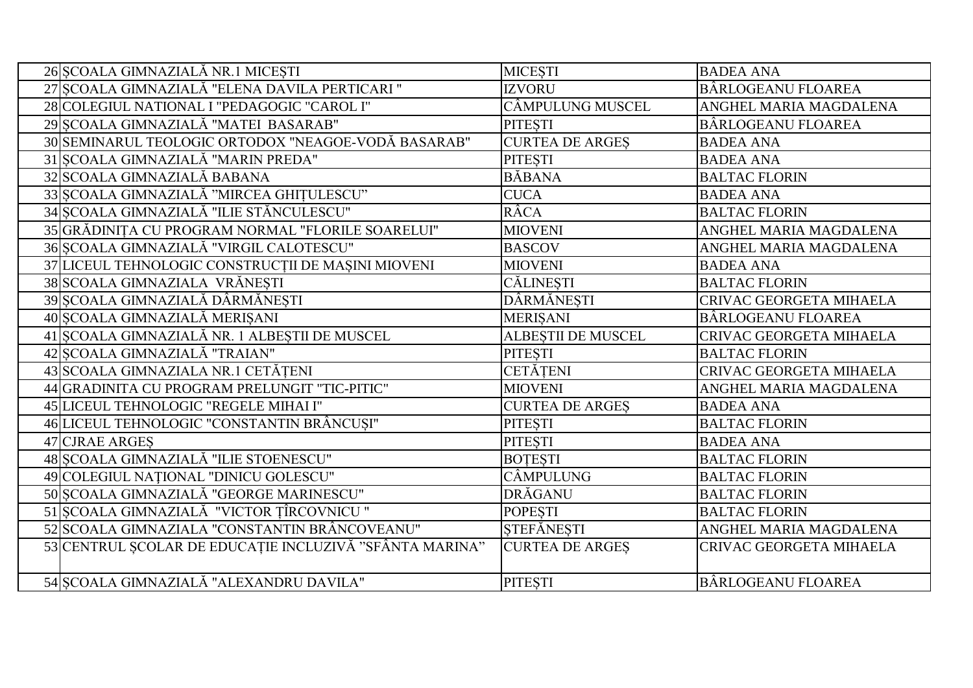| 26 SCOALA GIMNAZIALĂ NR.1 MICEȘTI                       | <b>MICESTI</b>            | <b>BADEA ANA</b>               |
|---------------------------------------------------------|---------------------------|--------------------------------|
| 27 SCOALA GIMNAZIALĂ "ELENA DAVILA PERTICARI "          | <b>IZVORU</b>             | BÂRLOGEANU FLOAREA             |
| 28 COLEGIUL NATIONAL I "PEDAGOGIC "CAROL I"             | CÂMPULUNG MUSCEL          | ANGHEL MARIA MAGDALENA         |
| 29 SCOALA GIMNAZIALĂ "MATEI BASARAB"                    | <b>PITESTI</b>            | BÂRLOGEANU FLOAREA             |
| 30 SEMINARUL TEOLOGIC ORTODOX "NEAGOE-VODĂ BASARAB"     | <b>CURTEA DE ARGES</b>    | <b>BADEA ANA</b>               |
| 31 ȘCOALA GIMNAZIALĂ "MARIN PREDA"                      | <b>PITESTI</b>            | <b>BADEA ANA</b>               |
| 32 SCOALA GIMNAZIALĂ BABANA                             | <b>BĂBANA</b>             | <b>BALTAC FLORIN</b>           |
| 33 SCOALA GIMNAZIALĂ "MIRCEA GHIȚULESCU"                | <b>CUCA</b>               | <b>BADEA ANA</b>               |
| 34 ȘCOALA GIMNAZIALĂ "ILIE STĂNCULESCU"                 | RÂCA                      | <b>BALTAC FLORIN</b>           |
| 35 GRĂDINITA CU PROGRAM NORMAL "FLORILE SOARELUI"       | <b>MIOVENI</b>            | ANGHEL MARIA MAGDALENA         |
| 36 SCOALA GIMNAZIALĂ "VIRGIL CALOTESCU"                 | <b>BASCOV</b>             | ANGHEL MARIA MAGDALENA         |
| 37 LICEUL TEHNOLOGIC CONSTRUCȚII DE MAȘINI MIOVENI      | <b>MIOVENI</b>            | <b>BADEA ANA</b>               |
| 38 SCOALA GIMNAZIALA VRĂNEȘTI                           | CĂLINEȘTI                 | <b>BALTAC FLORIN</b>           |
| 39 SCOALA GIMNAZIALĂ DÂRMĂNEȘTI                         | DÂRMĂNEȘTI                | <b>CRIVAC GEORGETA MIHAELA</b> |
| 40 ȘCOALA GIMNAZIALĂ MERIȘANI                           | <b>MERISANI</b>           | BÂRLOGEANU FLOAREA             |
| 41 ȘCOALA GIMNAZIALĂ NR. 1 ALBEȘTII DE MUSCEL           | <b>ALBESTII DE MUSCEL</b> | CRIVAC GEORGETA MIHAELA        |
| 42 ȘCOALA GIMNAZIALĂ "TRAIAN"                           | <b>PITESTI</b>            | <b>BALTAC FLORIN</b>           |
| 43 SCOALA GIMNAZIALA NR.1 CETĂTENI                      | <b>CETĂTENI</b>           | <b>CRIVAC GEORGETA MIHAELA</b> |
| 44 GRADINITA CU PROGRAM PRELUNGIT "TIC-PITIC"           | <b>MIOVENI</b>            | ANGHEL MARIA MAGDALENA         |
| 45 LICEUL TEHNOLOGIC "REGELE MIHAI I"                   | <b>CURTEA DE ARGES</b>    | <b>BADEA ANA</b>               |
| 46 LICEUL TEHNOLOGIC "CONSTANTIN BRÂNCUȘI"              | <b>PITESTI</b>            | <b>BALTAC FLORIN</b>           |
| 47 CJRAE ARGES                                          | PITEȘTI                   | <b>BADEA ANA</b>               |
| 48 ȘCOALA GIMNAZIALĂ "ILIE STOENESCU"                   | <b>BOTESTI</b>            | <b>BALTAC FLORIN</b>           |
| 49 COLEGIUL NAȚIONAL "DINICU GOLESCU"                   | CÂMPULUNG                 | <b>BALTAC FLORIN</b>           |
| 50 SCOALA GIMNAZIALĂ "GEORGE MARINESCU"                 | DRĂGANU                   | <b>BALTAC FLORIN</b>           |
| 51 ȘCOALA GIMNAZIALĂ "VICTOR ȚÎRCOVNICU"                | <b>POPESTI</b>            | <b>BALTAC FLORIN</b>           |
| 52 SCOALA GIMNAZIALA "CONSTANTIN BRÂNCOVEANU"           | <b>STEFĂNESTI</b>         | ANGHEL MARIA MAGDALENA         |
| 53 CENTRUL ȘCOLAR DE EDUCAȚIE INCLUZIVĂ "SFÂNTA MARINA" | <b>CURTEA DE ARGES</b>    | CRIVAC GEORGETA MIHAELA        |
|                                                         |                           |                                |
| 54 SCOALA GIMNAZIALĂ "ALEXANDRU DAVILA"                 | <b>PITESTI</b>            | BÂRLOGEANU FLOAREA             |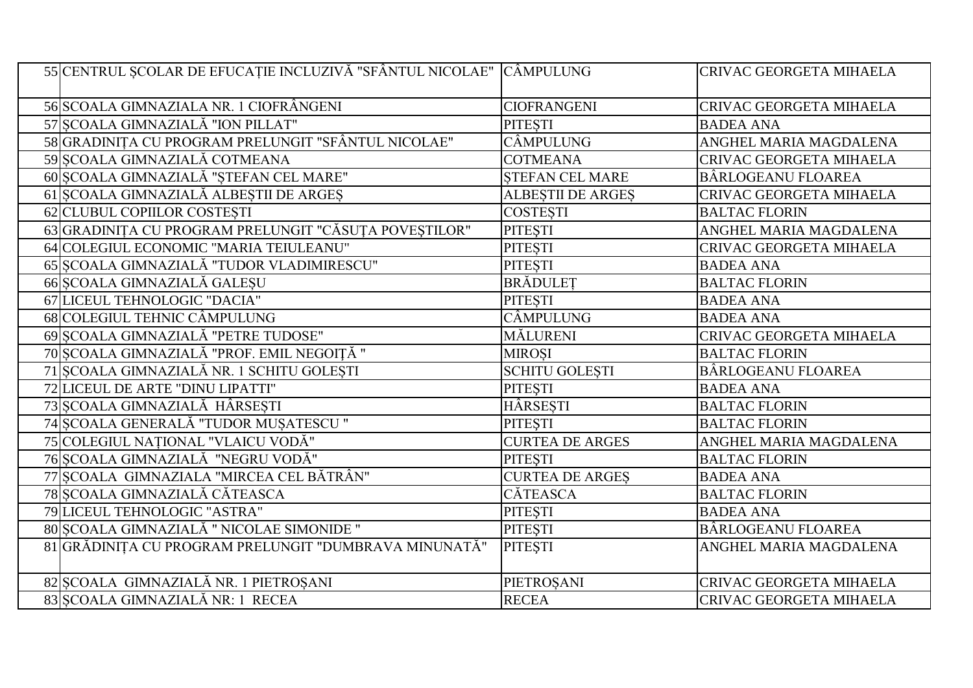| 55 CENTRUL ȘCOLAR DE EFUCAȚIE INCLUZIVĂ "SFÂNTUL NICOLAE" CÂMPULUNG     | <b>CRIVAC GEORGETA MIHAELA</b> |
|-------------------------------------------------------------------------|--------------------------------|
| 56 SCOALA GIMNAZIALA NR. 1 CIOFRÂNGENI<br><b>CIOFRANGENI</b>            | <b>CRIVAC GEORGETA MIHAELA</b> |
| 57 SCOALA GIMNAZIALĂ "ION PILLAT"<br><b>PITESTI</b>                     | <b>BADEA ANA</b>               |
| 58 GRADINIȚA CU PROGRAM PRELUNGIT "SFÂNTUL NICOLAE"<br>CÂMPULUNG        | ANGHEL MARIA MAGDALENA         |
| 59 SCOALA GIMNAZIALĂ COTMEANA<br><b>COTMEANA</b>                        | CRIVAC GEORGETA MIHAELA        |
| 60 ȘCOALA GIMNAZIALĂ "ȘTEFAN CEL MARE"<br><b>STEFAN CEL MARE</b>        | BÂRLOGEANU FLOAREA             |
| 61 ȘCOALA GIMNAZIALĂ ALBEȘTII DE ARGEȘ<br><b>ALBESTII DE ARGES</b>      | CRIVAC GEORGETA MIHAELA        |
| 62 CLUBUL COPIILOR COSTESTI<br><b>COSTESTI</b>                          | <b>BALTAC FLORIN</b>           |
| 63 GRADINIȚA CU PROGRAM PRELUNGIT "CĂSUȚA POVEȘTILOR"<br><b>PITESTI</b> | ANGHEL MARIA MAGDALENA         |
| 64 COLEGIUL ECONOMIC "MARIA TEIULEANU"<br><b>PITESTI</b>                | CRIVAC GEORGETA MIHAELA        |
| 65 ȘCOALA GIMNAZIALĂ "TUDOR VLADIMIRESCU"<br><b>PITESTI</b>             | <b>BADEA ANA</b>               |
| 66 SCOALA GIMNAZIALĂ GALESU<br><b>BRADULET</b>                          | <b>BALTAC FLORIN</b>           |
| 67 LICEUL TEHNOLOGIC "DACIA"<br><b>PITESTI</b>                          | <b>BADEA ANA</b>               |
| CÂMPULUNG<br>68 COLEGIUL TEHNIC CÂMPULUNG                               | <b>BADEA ANA</b>               |
| 69 SCOALA GIMNAZIALĂ "PETRE TUDOSE"<br><b>MĂLURENI</b>                  | CRIVAC GEORGETA MIHAELA        |
| 70 ȘCOALA GIMNAZIALĂ "PROF. EMIL NEGOIȚĂ "<br><b>MIROȘI</b>             | <b>BALTAC FLORIN</b>           |
| 71 SCOALA GIMNAZIALĂ NR. 1 SCHITU GOLESTI<br><b>SCHITU GOLESTI</b>      | BÂRLOGEANU FLOAREA             |
| 72 LICEUL DE ARTE "DINU LIPATTI"<br>PITEȘTI                             | <b>BADEA ANA</b>               |
| 73 SCOALA GIMNAZIALĂ HÂRSEȘTI<br>HÂRSESTI                               | <b>BALTAC FLORIN</b>           |
| 74 ȘCOALA GENERALĂ "TUDOR MUȘATESCU "<br><b>PITESTI</b>                 | <b>BALTAC FLORIN</b>           |
| 75 COLEGIUL NAȚIONAL "VLAICU VODĂ"<br><b>CURTEA DE ARGES</b>            | ANGHEL MARIA MAGDALENA         |
| 76 ȘCOALA GIMNAZIALĂ "NEGRU VODĂ"<br><b>PITESTI</b>                     | <b>BALTAC FLORIN</b>           |
| 77 SCOALA GIMNAZIALA "MIRCEA CEL BĂTRÂN"<br><b>CURTEA DE ARGES</b>      | <b>BADEA ANA</b>               |
| 78 ȘCOALA GIMNAZIALĂ CĂTEASCA<br>CĂTEASCA                               | <b>BALTAC FLORIN</b>           |
| 79 LICEUL TEHNOLOGIC "ASTRA"<br><b>PITESTI</b>                          | <b>BADEA ANA</b>               |
| 80 SCOALA GIMNAZIALĂ " NICOLAE SIMONIDE "<br><b>PITESTI</b>             | BÂRLOGEANU FLOAREA             |
| 81 GRĂDINIȚA CU PROGRAM PRELUNGIT "DUMBRAVA MINUNATĂ"<br><b>PITESTI</b> | ANGHEL MARIA MAGDALENA         |
| 82 SCOALA GIMNAZIALĂ NR. 1 PIETROȘANI<br>PIETROȘANI                     | CRIVAC GEORGETA MIHAELA        |
| 83 SCOALA GIMNAZIALĂ NR: 1 RECEA<br><b>RECEA</b>                        | CRIVAC GEORGETA MIHAELA        |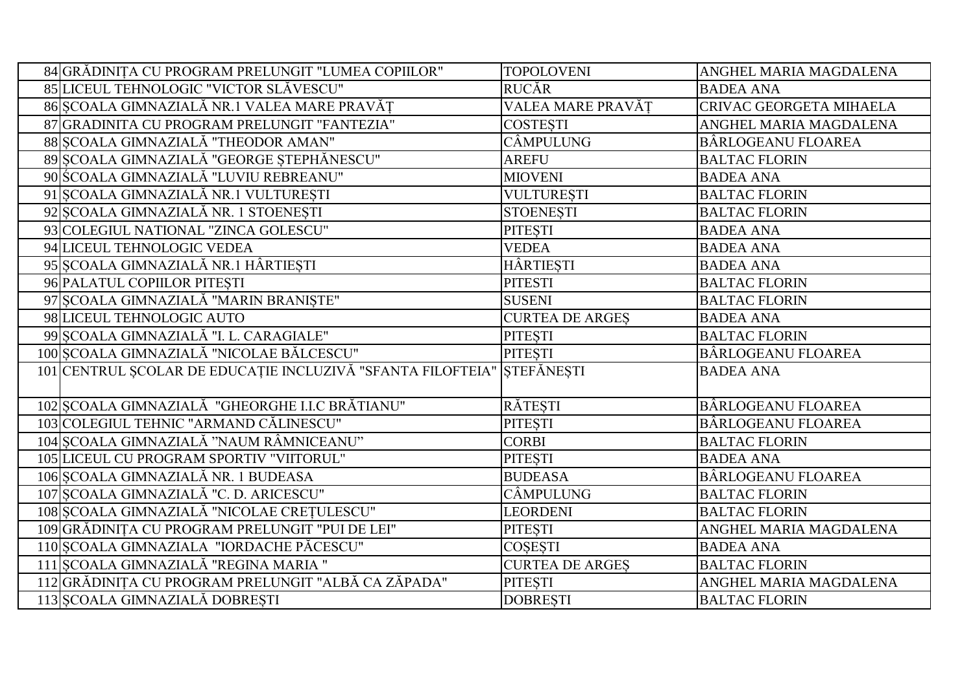| 84 GRĂDINIȚA CU PROGRAM PRELUNGIT "LUMEA COPIILOR"                     | <b>TOPOLOVENI</b>      | ANGHEL MARIA MAGDALENA    |
|------------------------------------------------------------------------|------------------------|---------------------------|
| 85 LICEUL TEHNOLOGIC "VICTOR SLĂVESCU"                                 | <b>RUCĂR</b>           | <b>BADEA ANA</b>          |
| 86 ȘCOALA GIMNAZIALĂ NR.1 VALEA MARE PRAVĂȚ                            | VALEA MARE PRAVĂT      | CRIVAC GEORGETA MIHAELA   |
| 87 GRADINITA CU PROGRAM PRELUNGIT "FANTEZIA"                           | <b>COSTESTI</b>        | ANGHEL MARIA MAGDALENA    |
| 88 SCOALA GIMNAZIALĂ "THEODOR AMAN"                                    | <b>CÂMPULUNG</b>       | BÂRLOGEANU FLOAREA        |
| 89 ȘCOALA GIMNAZIALĂ "GEORGE ȘTEPHĂNESCU"                              | <b>AREFU</b>           | <b>BALTAC FLORIN</b>      |
| 90 SCOALA GIMNAZIALĂ "LUVIU REBREANU"                                  | <b>MIOVENI</b>         | <b>BADEA ANA</b>          |
| 91 SCOALA GIMNAZIALĂ NR.1 VULTUREȘTI                                   | <b>VULTURESTI</b>      | <b>BALTAC FLORIN</b>      |
| 92 SCOALA GIMNAZIALĂ NR. 1 STOENEȘTI                                   | <b>STOENESTI</b>       | <b>BALTAC FLORIN</b>      |
| 93 COLEGIUL NATIONAL "ZINCA GOLESCU"                                   | <b>PITESTI</b>         | <b>BADEA ANA</b>          |
| 94 LICEUL TEHNOLOGIC VEDEA                                             | <b>VEDEA</b>           | <b>BADEA ANA</b>          |
| 95 ȘCOALA GIMNAZIALĂ NR.1 HÂRTIEȘTI                                    | HÂRTIEȘTI              | <b>BADEA ANA</b>          |
| 96 PALATUL COPIILOR PITESTI                                            | <b>PITESTI</b>         | <b>BALTAC FLORIN</b>      |
| 97 ȘCOALA GIMNAZIALĂ "MARIN BRANIȘTE"                                  | <b>SUSENI</b>          | <b>BALTAC FLORIN</b>      |
| 98 LICEUL TEHNOLOGIC AUTO                                              | <b>CURTEA DE ARGES</b> | <b>BADEA ANA</b>          |
| 99 SCOALA GIMNAZIALĂ "I. L. CARAGIALE"                                 | <b>PITESTI</b>         | <b>BALTAC FLORIN</b>      |
| 100 ȘCOALA GIMNAZIALĂ "NICOLAE BĂLCESCU"                               | <b>PITESTI</b>         | <b>BÂRLOGEANU FLOAREA</b> |
| 101 CENTRUL ȘCOLAR DE EDUCAȚIE INCLUZIVĂ "SFANTA FILOFTEIA" ȘTEFĂNEȘTI |                        | <b>BADEA ANA</b>          |
|                                                                        |                        |                           |
| 102 SCOALA GIMNAZIALĂ "GHEORGHE I.I.C BRĂTIANU"                        | <b>RĂTESTI</b>         | BÂRLOGEANU FLOAREA        |
| 103 COLEGIUL TEHNIC "ARMAND CĂLINESCU"                                 | <b>PITESTI</b>         | BÂRLOGEANU FLOAREA        |
| 104 SCOALA GIMNAZIALĂ "NAUM RÂMNICEANU"                                | <b>CORBI</b>           | <b>BALTAC FLORIN</b>      |
| 105 LICEUL CU PROGRAM SPORTIV "VIITORUL"                               | <b>PITESTI</b>         | <b>BADEA ANA</b>          |
| 106 SCOALA GIMNAZIALĂ NR. 1 BUDEASA                                    | <b>BUDEASA</b>         | BÂRLOGEANU FLOAREA        |
| 107 SCOALA GIMNAZIALĂ "C. D. ARICESCU"                                 | CÂMPULUNG              | <b>BALTAC FLORIN</b>      |
| 108 ȘCOALA GIMNAZIALĂ "NICOLAE CREȚULESCU"                             | <b>LEORDENI</b>        | <b>BALTAC FLORIN</b>      |
| 109 GRĂDINIȚA CU PROGRAM PRELUNGIT "PUI DE LEI"                        | <b>PITESTI</b>         | ANGHEL MARIA MAGDALENA    |
| 110 SCOALA GIMNAZIALA "IORDACHE PĂCESCU"                               | <b>COSESTI</b>         | <b>BADEA ANA</b>          |
| 111 SCOALA GIMNAZIALĂ "REGINA MARIA "                                  | <b>CURTEA DE ARGES</b> | <b>BALTAC FLORIN</b>      |
| 112 GRĂDINIȚA CU PROGRAM PRELUNGIT "ALBĂ CA ZĂPADA"                    | <b>PITESTI</b>         | ANGHEL MARIA MAGDALENA    |
| 113 SCOALA GIMNAZIALĂ DOBRESTI                                         | <b>DOBRESTI</b>        | <b>BALTAC FLORIN</b>      |